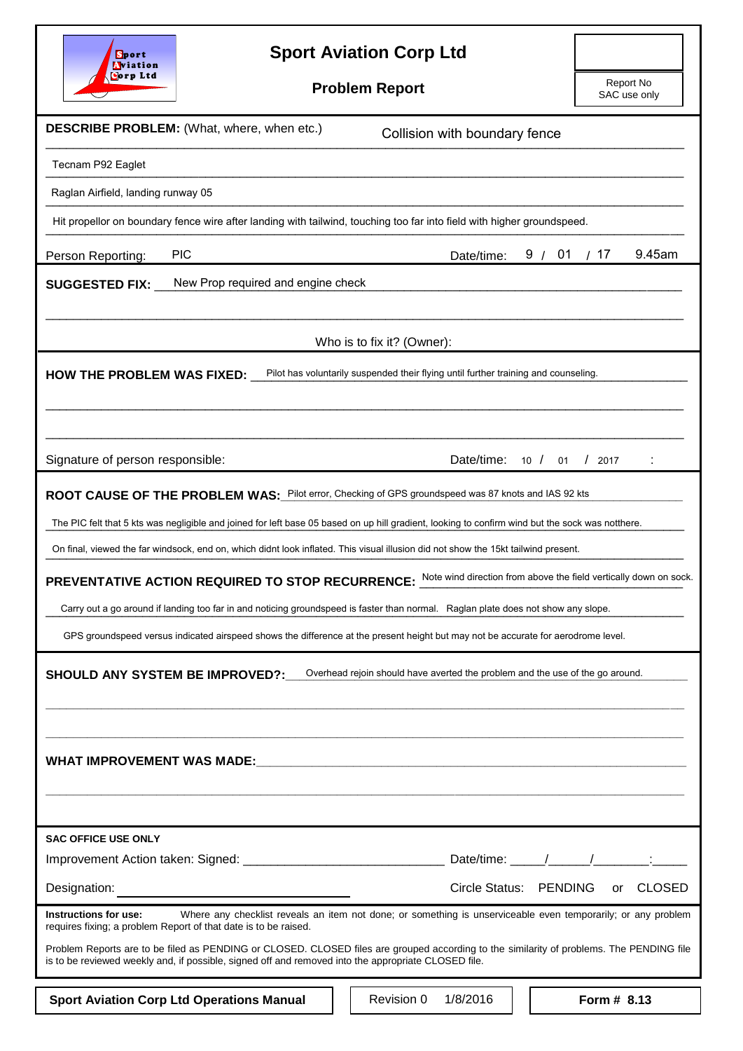| <b>Sport Aviation Corp Ltd</b><br>Sport<br><b>Aviation</b>                                                                                                                                                                                      |            |                        |        |                           |               |
|-------------------------------------------------------------------------------------------------------------------------------------------------------------------------------------------------------------------------------------------------|------------|------------------------|--------|---------------------------|---------------|
| <b>Corp Ltd</b><br><b>Problem Report</b>                                                                                                                                                                                                        |            |                        |        | Report No<br>SAC use only |               |
|                                                                                                                                                                                                                                                 |            |                        |        |                           |               |
| <b>DESCRIBE PROBLEM:</b> (What, where, when etc.)<br>Collision with boundary fence                                                                                                                                                              |            |                        |        |                           |               |
| Tecnam P92 Eaglet                                                                                                                                                                                                                               |            |                        |        |                           |               |
| Raglan Airfield, landing runway 05                                                                                                                                                                                                              |            |                        |        |                           |               |
| Hit propellor on boundary fence wire after landing with tailwind, touching too far into field with higher groundspeed.                                                                                                                          |            |                        |        |                           |               |
| <b>PIC</b><br>Person Reporting:                                                                                                                                                                                                                 |            | Date/time:             | 9 / 01 | /17                       | 9.45am        |
| New Prop required and engine check<br><b>SUGGESTED FIX:</b>                                                                                                                                                                                     |            |                        |        |                           |               |
|                                                                                                                                                                                                                                                 |            |                        |        |                           |               |
| Who is to fix it? (Owner):                                                                                                                                                                                                                      |            |                        |        |                           |               |
| Pilot has voluntarily suspended their flying until further training and counseling.<br><b>HOW THE PROBLEM WAS FIXED:</b>                                                                                                                        |            |                        |        |                           |               |
|                                                                                                                                                                                                                                                 |            |                        |        |                           |               |
|                                                                                                                                                                                                                                                 |            |                        |        |                           |               |
| Signature of person responsible:                                                                                                                                                                                                                |            | Date/time: 10 / 01     |        | $/$ 2017                  |               |
| ROOT CAUSE OF THE PROBLEM WAS: Pilot error, Checking of GPS groundspeed was 87 knots and IAS 92 kts                                                                                                                                             |            |                        |        |                           |               |
| The PIC felt that 5 kts was negligible and joined for left base 05 based on up hill gradient, looking to confirm wind but the sock was notthere.                                                                                                |            |                        |        |                           |               |
| On final, viewed the far windsock, end on, which didnt look inflated. This visual illusion did not show the 15kt tailwind present.                                                                                                              |            |                        |        |                           |               |
| <b>PREVENTATIVE ACTION REQUIRED TO STOP RECURRENCE:</b> Note wind direction from above the field vertically down on sock.                                                                                                                       |            |                        |        |                           |               |
| Carry out a go around if landing too far in and noticing groundspeed is faster than normal. Raglan plate does not show any slope.                                                                                                               |            |                        |        |                           |               |
| GPS groundspeed versus indicated airspeed shows the difference at the present height but may not be accurate for aerodrome level.                                                                                                               |            |                        |        |                           |               |
| Overhead rejoin should have averted the problem and the use of the go around.<br>SHOULD ANY SYSTEM BE IMPROVED?:                                                                                                                                |            |                        |        |                           |               |
|                                                                                                                                                                                                                                                 |            |                        |        |                           |               |
|                                                                                                                                                                                                                                                 |            |                        |        |                           |               |
|                                                                                                                                                                                                                                                 |            |                        |        |                           |               |
| <b>SAC OFFICE USE ONLY</b>                                                                                                                                                                                                                      |            |                        |        |                           |               |
|                                                                                                                                                                                                                                                 |            |                        |        |                           |               |
| Designation:                                                                                                                                                                                                                                    |            | Circle Status: PENDING |        | or                        | <b>CLOSED</b> |
| Where any checklist reveals an item not done; or something is unserviceable even temporarily; or any problem<br>Instructions for use:<br>requires fixing; a problem Report of that date is to be raised.                                        |            |                        |        |                           |               |
| Problem Reports are to be filed as PENDING or CLOSED. CLOSED files are grouped according to the similarity of problems. The PENDING file<br>is to be reviewed weekly and, if possible, signed off and removed into the appropriate CLOSED file. |            |                        |        |                           |               |
| <b>Sport Aviation Corp Ltd Operations Manual</b>                                                                                                                                                                                                | Revision 0 | 1/8/2016               |        | Form # 8.13               |               |